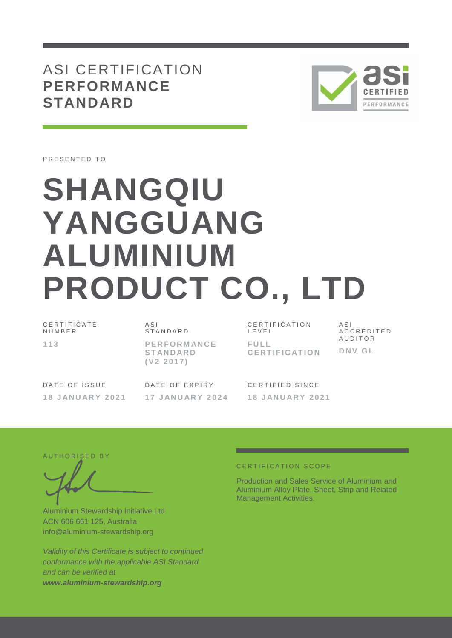# ASI CERTIFICATION **PERFORMANCE STANDARD**



PRESENTED TO

# **SHANGQIU YANGGUANG ALUMINIUM PRODUCT CO., LTD**

| CERTIFICATE<br>NUMBER |  |
|-----------------------|--|
| 113                   |  |

 $\triangle$  S I **STANDARD P E R F O R M AN C E S T AN D AR D ( V 2 2 0 1 7 )**

DATE OF ISSUE **1 8 J AN U AR Y 2 0 2 1** DATE OF EXPIRY **1 7 J AN U AR Y 2 0 2 4** C E R T I F I C A T I O N L E V E L **F U L L C E R T I F I C AT I O N**  $A S I$ A C C R E D I T E D **AUDITOR D N V G L**

CERTIFIED SINCE **1 8 J AN U AR Y 2 0 2 1**

AUTHORISED BY

Aluminium Stewardship Initiative Ltd ACN 606 661 125, Australia info@aluminium-stewardship.org

*Validity of this Certificate is subject to continued conformance with the applicable ASI Standard and can be verified at www.aluminium-stewardship.org*

#### CERTIFICATION SCOPE

Production and Sales Service of Aluminium and Aluminium Alloy Plate, Sheet, Strip and Related Management Activities.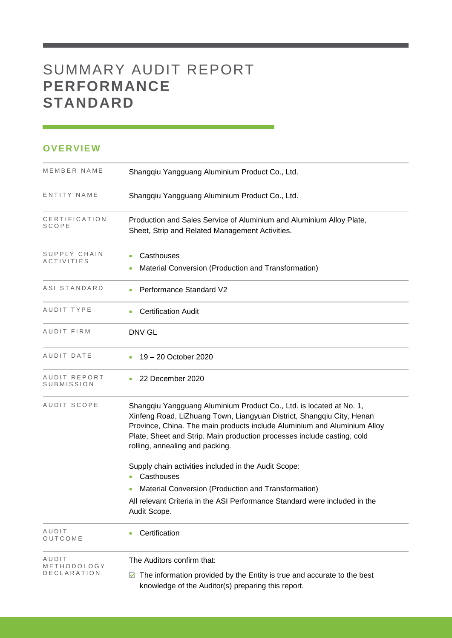# SUMMARY AUDIT REPORT **PERFORMANCE STANDARD**

## **OVERVIEW**

| MEMBER NAME                | Shangqiu Yangguang Aluminium Product Co., Ltd.                                                                                                                                                                                                                                                                                         |
|----------------------------|----------------------------------------------------------------------------------------------------------------------------------------------------------------------------------------------------------------------------------------------------------------------------------------------------------------------------------------|
| ENTITY NAME                | Shangqiu Yangguang Aluminium Product Co., Ltd.                                                                                                                                                                                                                                                                                         |
| CERTIFICATION<br>SCOPE     | Production and Sales Service of Aluminium and Aluminium Alloy Plate,<br>Sheet, Strip and Related Management Activities.                                                                                                                                                                                                                |
| SUPPLY CHAIN<br>ACTIVITIES | Casthouses<br>Material Conversion (Production and Transformation)                                                                                                                                                                                                                                                                      |
| ASI STANDARD               | Performance Standard V2                                                                                                                                                                                                                                                                                                                |
| AUDIT TYPE                 | <b>Certification Audit</b>                                                                                                                                                                                                                                                                                                             |
| AUDIT FIRM                 | <b>DNV GL</b>                                                                                                                                                                                                                                                                                                                          |
| AUDIT DATE                 | 19 – 20 October 2020                                                                                                                                                                                                                                                                                                                   |
| AUDIT REPORT<br>SUBMISSION | 22 December 2020                                                                                                                                                                                                                                                                                                                       |
| AUDIT SCOPE                | Shangqiu Yangguang Aluminium Product Co., Ltd. is located at No. 1,<br>Xinfeng Road, LiZhuang Town, Liangyuan District, Shangqiu City, Henan<br>Province, China. The main products include Aluminium and Aluminium Alloy<br>Plate, Sheet and Strip. Main production processes include casting, cold<br>rolling, annealing and packing. |
|                            | Supply chain activities included in the Audit Scope:                                                                                                                                                                                                                                                                                   |
|                            | Casthouses<br>$\bullet$<br>Material Conversion (Production and Transformation)                                                                                                                                                                                                                                                         |
|                            | All relevant Criteria in the ASI Performance Standard were included in the<br>Audit Scope.                                                                                                                                                                                                                                             |
| AUDIT<br>OUTCOME           | Certification                                                                                                                                                                                                                                                                                                                          |
| AUDIT<br>METHODOLOGY       | The Auditors confirm that:                                                                                                                                                                                                                                                                                                             |
| DECLARATION                | The information provided by the Entity is true and accurate to the best<br>⊻<br>knowledge of the Auditor(s) preparing this report.                                                                                                                                                                                                     |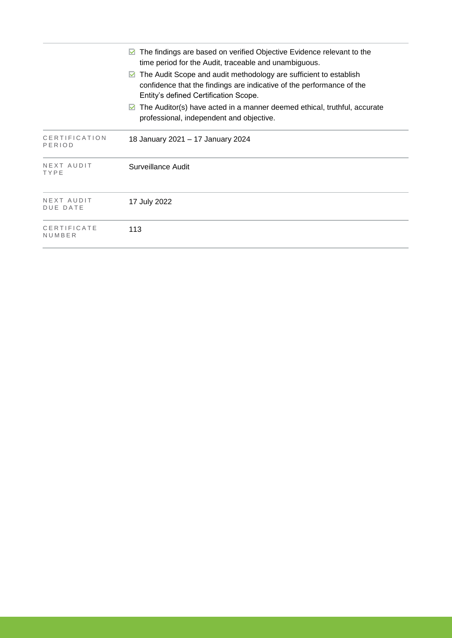|                               | The findings are based on verified Objective Evidence relevant to the<br>time period for the Audit, traceable and unambiguous.<br>The Audit Scope and audit methodology are sufficient to establish<br>M<br>confidence that the findings are indicative of the performance of the<br>Entity's defined Certification Scope. |
|-------------------------------|----------------------------------------------------------------------------------------------------------------------------------------------------------------------------------------------------------------------------------------------------------------------------------------------------------------------------|
|                               | The Auditor(s) have acted in a manner deemed ethical, truthful, accurate<br>M<br>professional, independent and objective.                                                                                                                                                                                                  |
| CERTIFICATION<br>PERIOD       | 18 January 2021 - 17 January 2024                                                                                                                                                                                                                                                                                          |
| NEXT AUDIT<br>TYPE            | Surveillance Audit                                                                                                                                                                                                                                                                                                         |
| NEXT AUDIT<br><b>DUE DATE</b> | 17 July 2022                                                                                                                                                                                                                                                                                                               |
| CERTIFICATE<br>NUMBER         | 113                                                                                                                                                                                                                                                                                                                        |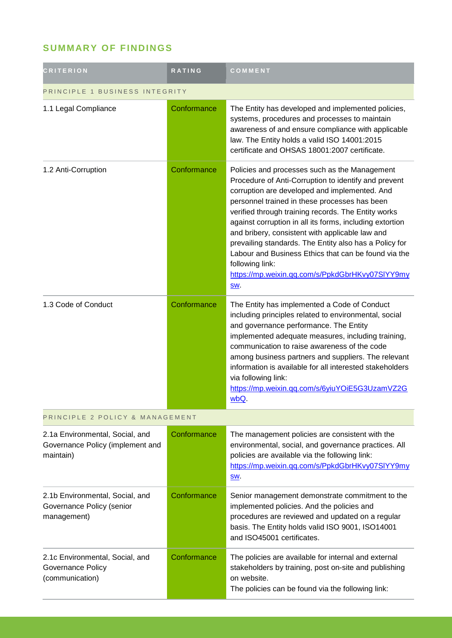# **SUMMARY OF FINDINGS**

| <b>CRITERION</b>                                                                 | <b>RATING</b> | COMMENT                                                                                                                                                                                                                                                                                                                                                                                                                                                                                                                                                                            |
|----------------------------------------------------------------------------------|---------------|------------------------------------------------------------------------------------------------------------------------------------------------------------------------------------------------------------------------------------------------------------------------------------------------------------------------------------------------------------------------------------------------------------------------------------------------------------------------------------------------------------------------------------------------------------------------------------|
| PRINCIPLE 1 BUSINESS INTEGRITY                                                   |               |                                                                                                                                                                                                                                                                                                                                                                                                                                                                                                                                                                                    |
| 1.1 Legal Compliance                                                             | Conformance   | The Entity has developed and implemented policies,<br>systems, procedures and processes to maintain<br>awareness of and ensure compliance with applicable<br>law. The Entity holds a valid ISO 14001:2015<br>certificate and OHSAS 18001:2007 certificate.                                                                                                                                                                                                                                                                                                                         |
| 1.2 Anti-Corruption                                                              | Conformance   | Policies and processes such as the Management<br>Procedure of Anti-Corruption to identify and prevent<br>corruption are developed and implemented. And<br>personnel trained in these processes has been<br>verified through training records. The Entity works<br>against corruption in all its forms, including extortion<br>and bribery, consistent with applicable law and<br>prevailing standards. The Entity also has a Policy for<br>Labour and Business Ethics that can be found via the<br>following link:<br>https://mp.weixin.qq.com/s/PpkdGbrHKvy07SIYY9my<br><u>SW</u> |
| 1.3 Code of Conduct                                                              | Conformance   | The Entity has implemented a Code of Conduct<br>including principles related to environmental, social<br>and governance performance. The Entity<br>implemented adequate measures, including training,<br>communication to raise awareness of the code<br>among business partners and suppliers. The relevant<br>information is available for all interested stakeholders<br>via following link:<br>https://mp.weixin.qq.com/s/6yiuYOiE5G3UzamVZ2G<br>wbQ.                                                                                                                          |
| PRINCIPLE 2 POLICY & MANAGEMENT                                                  |               |                                                                                                                                                                                                                                                                                                                                                                                                                                                                                                                                                                                    |
| 2.1a Environmental, Social, and<br>Governance Policy (implement and<br>maintain) | Conformance   | The management policies are consistent with the<br>environmental, social, and governance practices. All<br>policies are available via the following link:<br>https://mp.weixin.qq.com/s/PpkdGbrHKvy07SIYY9my<br>SW.                                                                                                                                                                                                                                                                                                                                                                |
| 2.1b Environmental, Social, and<br>Governance Policy (senior<br>management)      | Conformance   | Senior management demonstrate commitment to the<br>implemented policies. And the policies and<br>procedures are reviewed and updated on a regular<br>basis. The Entity holds valid ISO 9001, ISO14001<br>and ISO45001 certificates.                                                                                                                                                                                                                                                                                                                                                |
| 2.1c Environmental, Social, and<br>Governance Policy<br>(communication)          | Conformance   | The policies are available for internal and external<br>stakeholders by training, post on-site and publishing<br>on website.<br>The policies can be found via the following link:                                                                                                                                                                                                                                                                                                                                                                                                  |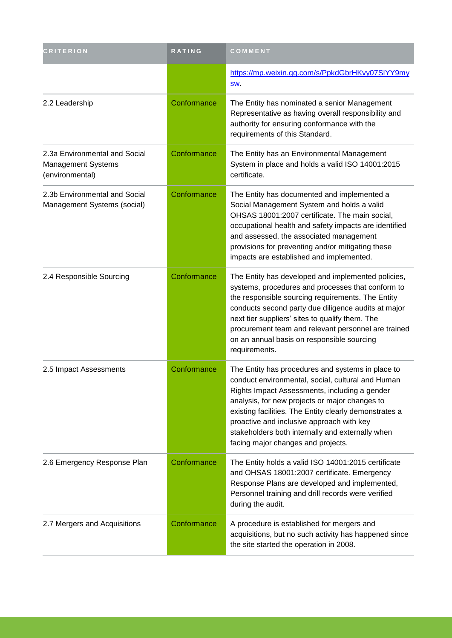| <b>CRITERION</b>                                                       | <b>RATING</b> | COMMENT                                                                                                                                                                                                                                                                                                                                                                                                    |
|------------------------------------------------------------------------|---------------|------------------------------------------------------------------------------------------------------------------------------------------------------------------------------------------------------------------------------------------------------------------------------------------------------------------------------------------------------------------------------------------------------------|
|                                                                        |               | https://mp.weixin.qq.com/s/PpkdGbrHKvy07SIYY9my<br><u>SW</u> .                                                                                                                                                                                                                                                                                                                                             |
| 2.2 Leadership                                                         | Conformance   | The Entity has nominated a senior Management<br>Representative as having overall responsibility and<br>authority for ensuring conformance with the<br>requirements of this Standard.                                                                                                                                                                                                                       |
| 2.3a Environmental and Social<br>Management Systems<br>(environmental) | Conformance   | The Entity has an Environmental Management<br>System in place and holds a valid ISO 14001:2015<br>certificate.                                                                                                                                                                                                                                                                                             |
| 2.3b Environmental and Social<br>Management Systems (social)           | Conformance   | The Entity has documented and implemented a<br>Social Management System and holds a valid<br>OHSAS 18001:2007 certificate. The main social,<br>occupational health and safety impacts are identified<br>and assessed, the associated management<br>provisions for preventing and/or mitigating these<br>impacts are established and implemented.                                                           |
| 2.4 Responsible Sourcing                                               | Conformance   | The Entity has developed and implemented policies,<br>systems, procedures and processes that conform to<br>the responsible sourcing requirements. The Entity<br>conducts second party due diligence audits at major<br>next tier suppliers' sites to qualify them. The<br>procurement team and relevant personnel are trained<br>on an annual basis on responsible sourcing<br>requirements.               |
| 2.5 Impact Assessments                                                 | Conformance   | The Entity has procedures and systems in place to<br>conduct environmental, social, cultural and Human<br>Rights Impact Assessments, including a gender<br>analysis, for new projects or major changes to<br>existing facilities. The Entity clearly demonstrates a<br>proactive and inclusive approach with key<br>stakeholders both internally and externally when<br>facing major changes and projects. |
| 2.6 Emergency Response Plan                                            | Conformance   | The Entity holds a valid ISO 14001:2015 certificate<br>and OHSAS 18001:2007 certificate. Emergency<br>Response Plans are developed and implemented,<br>Personnel training and drill records were verified<br>during the audit.                                                                                                                                                                             |
| 2.7 Mergers and Acquisitions                                           | Conformance   | A procedure is established for mergers and<br>acquisitions, but no such activity has happened since<br>the site started the operation in 2008.                                                                                                                                                                                                                                                             |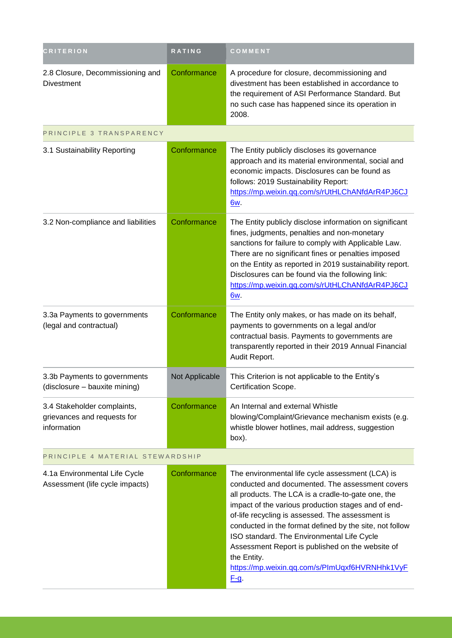| <b>CRITERION</b>                                                          | <b>RATING</b>  | COMMENT                                                                                                                                                                                                                                                                                                                                                                                                                                                                                                            |  |
|---------------------------------------------------------------------------|----------------|--------------------------------------------------------------------------------------------------------------------------------------------------------------------------------------------------------------------------------------------------------------------------------------------------------------------------------------------------------------------------------------------------------------------------------------------------------------------------------------------------------------------|--|
| 2.8 Closure, Decommissioning and<br><b>Divestment</b>                     | Conformance    | A procedure for closure, decommissioning and<br>divestment has been established in accordance to<br>the requirement of ASI Performance Standard. But<br>no such case has happened since its operation in<br>2008.                                                                                                                                                                                                                                                                                                  |  |
| PRINCIPLE 3 TRANSPARENCY                                                  |                |                                                                                                                                                                                                                                                                                                                                                                                                                                                                                                                    |  |
| 3.1 Sustainability Reporting                                              | Conformance    | The Entity publicly discloses its governance<br>approach and its material environmental, social and<br>economic impacts. Disclosures can be found as<br>follows: 2019 Sustainability Report:<br>https://mp.weixin.qq.com/s/rUtHLChANfdArR4PJ6CJ<br>6w.                                                                                                                                                                                                                                                             |  |
| 3.2 Non-compliance and liabilities                                        | Conformance    | The Entity publicly disclose information on significant<br>fines, judgments, penalties and non-monetary<br>sanctions for failure to comply with Applicable Law.<br>There are no significant fines or penalties imposed<br>on the Entity as reported in 2019 sustainability report.<br>Disclosures can be found via the following link:<br>https://mp.weixin.qq.com/s/rUtHLChANfdArR4PJ6CJ<br>6w.                                                                                                                   |  |
| 3.3a Payments to governments<br>(legal and contractual)                   | Conformance    | The Entity only makes, or has made on its behalf,<br>payments to governments on a legal and/or<br>contractual basis. Payments to governments are<br>transparently reported in their 2019 Annual Financial<br>Audit Report.                                                                                                                                                                                                                                                                                         |  |
| 3.3b Payments to governments<br>(disclosure - bauxite mining)             | Not Applicable | This Criterion is not applicable to the Entity's<br>Certification Scope.                                                                                                                                                                                                                                                                                                                                                                                                                                           |  |
| 3.4 Stakeholder complaints,<br>grievances and requests for<br>information | Conformance    | An Internal and external Whistle<br>blowing/Complaint/Grievance mechanism exists (e.g.<br>whistle blower hotlines, mail address, suggestion<br>box).                                                                                                                                                                                                                                                                                                                                                               |  |
| PRINCIPLE 4 MATERIAL STEWARDSHIP                                          |                |                                                                                                                                                                                                                                                                                                                                                                                                                                                                                                                    |  |
| 4.1a Environmental Life Cycle<br>Assessment (life cycle impacts)          | Conformance    | The environmental life cycle assessment (LCA) is<br>conducted and documented. The assessment covers<br>all products. The LCA is a cradle-to-gate one, the<br>impact of the various production stages and of end-<br>of-life recycling is assessed. The assessment is<br>conducted in the format defined by the site, not follow<br>ISO standard. The Environmental Life Cycle<br>Assessment Report is published on the website of<br>the Entity.<br>https://mp.weixin.qq.com/s/PImUqxf6HVRNHhk1VyF<br><u>F-q</u> . |  |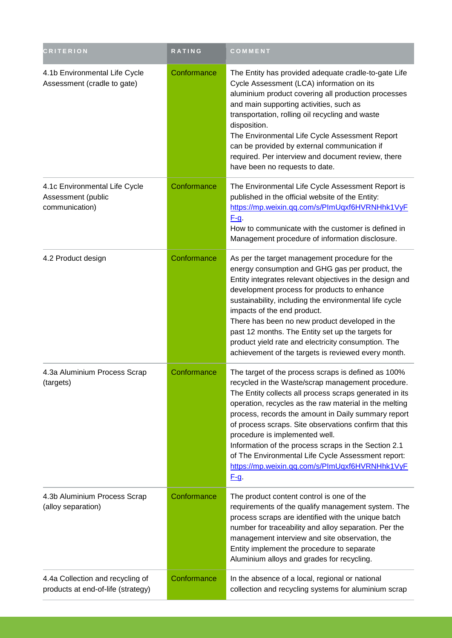| <b>CRITERION</b>                                                       | <b>RATING</b> | COMMENT                                                                                                                                                                                                                                                                                                                                                                                                                                                                                                                                                         |
|------------------------------------------------------------------------|---------------|-----------------------------------------------------------------------------------------------------------------------------------------------------------------------------------------------------------------------------------------------------------------------------------------------------------------------------------------------------------------------------------------------------------------------------------------------------------------------------------------------------------------------------------------------------------------|
| 4.1b Environmental Life Cycle<br>Assessment (cradle to gate)           | Conformance   | The Entity has provided adequate cradle-to-gate Life<br>Cycle Assessment (LCA) information on its<br>aluminium product covering all production processes<br>and main supporting activities, such as<br>transportation, rolling oil recycling and waste<br>disposition.<br>The Environmental Life Cycle Assessment Report<br>can be provided by external communication if<br>required. Per interview and document review, there<br>have been no requests to date.                                                                                                |
| 4.1c Environmental Life Cycle<br>Assessment (public<br>communication)  | Conformance   | The Environmental Life Cycle Assessment Report is<br>published in the official website of the Entity:<br>https://mp.weixin.qq.com/s/PImUqxf6HVRNHhk1VyF<br>$F-g.$<br>How to communicate with the customer is defined in<br>Management procedure of information disclosure.                                                                                                                                                                                                                                                                                      |
| 4.2 Product design                                                     | Conformance   | As per the target management procedure for the<br>energy consumption and GHG gas per product, the<br>Entity integrates relevant objectives in the design and<br>development process for products to enhance<br>sustainability, including the environmental life cycle<br>impacts of the end product.<br>There has been no new product developed in the<br>past 12 months. The Entity set up the targets for<br>product yield rate and electricity consumption. The<br>achievement of the targets is reviewed every month.                                       |
| 4.3a Aluminium Process Scrap<br>(targets)                              | Conformance   | The target of the process scraps is defined as 100%<br>recycled in the Waste/scrap management procedure.<br>The Entity collects all process scraps generated in its<br>operation, recycles as the raw material in the melting<br>process, records the amount in Daily summary report<br>of process scraps. Site observations confirm that this<br>procedure is implemented well.<br>Information of the process scraps in the Section 2.1<br>of The Environmental Life Cycle Assessment report:<br>https://mp.weixin.qq.com/s/PImUqxf6HVRNHhk1VyF<br><u>F-q.</u> |
| 4.3b Aluminium Process Scrap<br>(alloy separation)                     | Conformance   | The product content control is one of the<br>requirements of the qualify management system. The<br>process scraps are identified with the unique batch<br>number for traceability and alloy separation. Per the<br>management interview and site observation, the<br>Entity implement the procedure to separate<br>Aluminium alloys and grades for recycling.                                                                                                                                                                                                   |
| 4.4a Collection and recycling of<br>products at end-of-life (strategy) | Conformance   | In the absence of a local, regional or national<br>collection and recycling systems for aluminium scrap                                                                                                                                                                                                                                                                                                                                                                                                                                                         |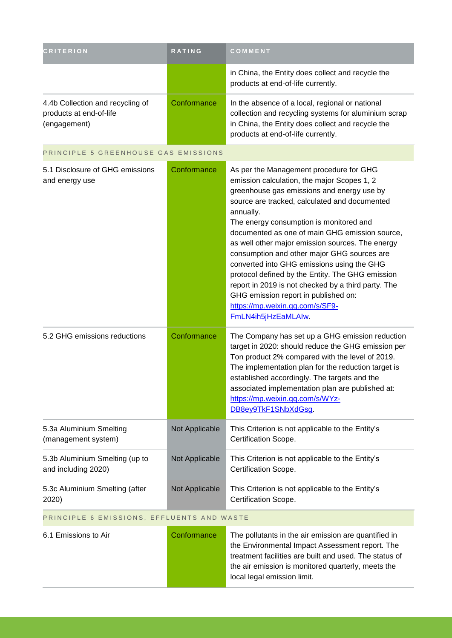| <b>CRITERION</b>                                                            | <b>RATING</b> | <b>COMMENT</b>                                                                                                                                                                                     |
|-----------------------------------------------------------------------------|---------------|----------------------------------------------------------------------------------------------------------------------------------------------------------------------------------------------------|
|                                                                             |               | in China, the Entity does collect and recycle the<br>products at end-of-life currently.                                                                                                            |
| 4.4b Collection and recycling of<br>products at end-of-life<br>(engagement) | Conformance   | In the absence of a local, regional or national<br>collection and recycling systems for aluminium scrap<br>in China, the Entity does collect and recycle the<br>products at end-of-life currently. |

## PRINCIPLE 5 GREENHOUSE GAS EMISSIONS

| 5.1 Disclosure of GHG emissions<br>and energy use     | Conformance    | As per the Management procedure for GHG<br>emission calculation, the major Scopes 1, 2<br>greenhouse gas emissions and energy use by<br>source are tracked, calculated and documented<br>annually.<br>The energy consumption is monitored and<br>documented as one of main GHG emission source,<br>as well other major emission sources. The energy<br>consumption and other major GHG sources are<br>converted into GHG emissions using the GHG<br>protocol defined by the Entity. The GHG emission<br>report in 2019 is not checked by a third party. The<br>GHG emission report in published on:<br>https://mp.weixin.qq.com/s/SF9- |
|-------------------------------------------------------|----------------|----------------------------------------------------------------------------------------------------------------------------------------------------------------------------------------------------------------------------------------------------------------------------------------------------------------------------------------------------------------------------------------------------------------------------------------------------------------------------------------------------------------------------------------------------------------------------------------------------------------------------------------|
| 5.2 GHG emissions reductions                          | Conformance    | FmLN4ih5jHzEaMLAIw.<br>The Company has set up a GHG emission reduction<br>target in 2020: should reduce the GHG emission per<br>Ton product 2% compared with the level of 2019.<br>The implementation plan for the reduction target is<br>established accordingly. The targets and the<br>associated implementation plan are published at:<br>https://mp.weixin.qq.com/s/WYz-<br>DB8ey9TkF1SNbXdGsg.                                                                                                                                                                                                                                   |
| 5.3a Aluminium Smelting<br>(management system)        | Not Applicable | This Criterion is not applicable to the Entity's<br>Certification Scope.                                                                                                                                                                                                                                                                                                                                                                                                                                                                                                                                                               |
| 5.3b Aluminium Smelting (up to<br>and including 2020) | Not Applicable | This Criterion is not applicable to the Entity's<br>Certification Scope.                                                                                                                                                                                                                                                                                                                                                                                                                                                                                                                                                               |
| 5.3c Aluminium Smelting (after<br>2020)               | Not Applicable | This Criterion is not applicable to the Entity's<br>Certification Scope.                                                                                                                                                                                                                                                                                                                                                                                                                                                                                                                                                               |
| DOINCIDE C FMICCIONS FEELILENTS AND WASTE             |                |                                                                                                                                                                                                                                                                                                                                                                                                                                                                                                                                                                                                                                        |

#### PRINCIPLE 6 EMISSIONS, EFFLUENTS AND WASTE

6.1 Emissions to Air **Conformance** The pollutants in the air emission are quantified in the Environmental Impact Assessment report. The treatment facilities are built and used. The status of the air emission is monitored quarterly, meets the local legal emission limit.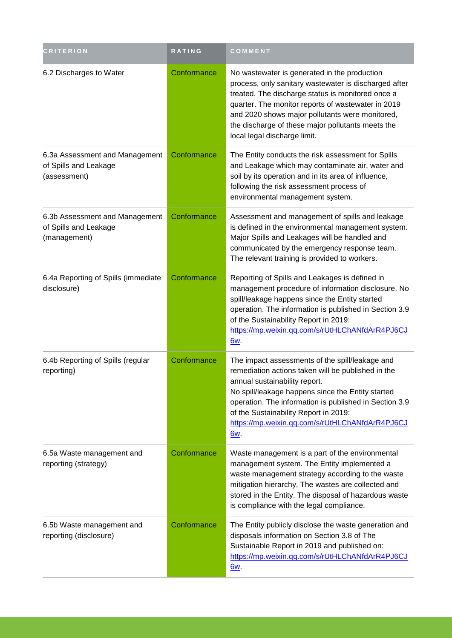| <b>CRITERION</b>                                                        | <b>RATING</b> | COMMENT                                                                                                                                                                                                                                                                                                                                                        |
|-------------------------------------------------------------------------|---------------|----------------------------------------------------------------------------------------------------------------------------------------------------------------------------------------------------------------------------------------------------------------------------------------------------------------------------------------------------------------|
| 6.2 Discharges to Water                                                 | Conformance   | No wastewater is generated in the production<br>process, only sanitary wastewater is discharged after<br>treated. The discharge status is monitored once a<br>quarter. The monitor reports of wastewater in 2019<br>and 2020 shows major pollutants were monitored,<br>the discharge of these major pollutants meets the<br>local legal discharge limit.       |
| 6.3a Assessment and Management<br>of Spills and Leakage<br>(assessment) | Conformance   | The Entity conducts the risk assessment for Spills<br>and Leakage which may contaminate air, water and<br>soil by its operation and in its area of influence,<br>following the risk assessment process of<br>environmental management system.                                                                                                                  |
| 6.3b Assessment and Management<br>of Spills and Leakage<br>(management) | Conformance   | Assessment and management of spills and leakage<br>is defined in the environmental management system.<br>Major Spills and Leakages will be handled and<br>communicated by the emergency response team.<br>The relevant training is provided to workers.                                                                                                        |
| 6.4a Reporting of Spills (immediate<br>disclosure)                      | Conformance   | Reporting of Spills and Leakages is defined in<br>management procedure of information disclosure. No<br>spill/leakage happens since the Entity started<br>operation. The information is published in Section 3.9<br>of the Sustainability Report in 2019:<br>https://mp.weixin.qq.com/s/rUtHLChANfdArR4PJ6CJ<br>6w.                                            |
| 6.4b Reporting of Spills (regular<br>reporting)                         | Conformance   | The impact assessments of the spill/leakage and<br>remediation actions taken will be published in the<br>annual sustainability report.<br>No spill/leakage happens since the Entity started<br>operation. The information is published in Section 3.9<br>of the Sustainability Report in 2019:<br>https://mp.weixin.qq.com/s/rUtHLChANfdArR4PJ6CJ<br><u>6w</u> |
| 6.5a Waste management and<br>reporting (strategy)                       | Conformance   | Waste management is a part of the environmental<br>management system. The Entity implemented a<br>waste management strategy according to the waste<br>mitigation hierarchy, The wastes are collected and<br>stored in the Entity. The disposal of hazardous waste<br>is compliance with the legal compliance.                                                  |
| 6.5b Waste management and<br>reporting (disclosure)                     | Conformance   | The Entity publicly disclose the waste generation and<br>disposals information on Section 3.8 of The<br>Sustainable Report in 2019 and published on:<br>https://mp.weixin.qq.com/s/rUtHLChANfdArR4PJ6CJ<br><u>6w</u>                                                                                                                                           |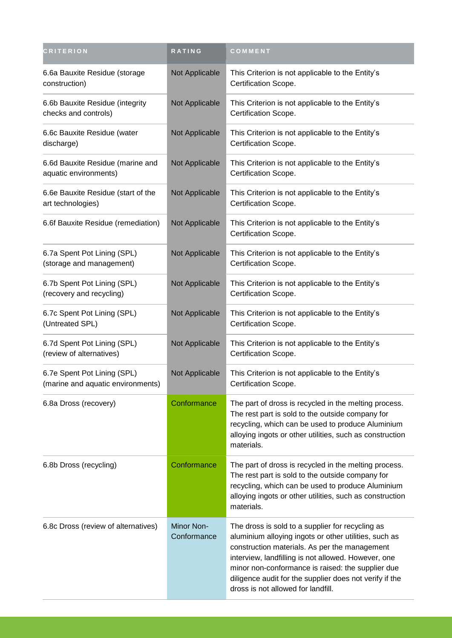| <b>CRITERION</b>                                                 | RATING                    | COMMENT                                                                                                                                                                                                                                                                                                                                                                 |
|------------------------------------------------------------------|---------------------------|-------------------------------------------------------------------------------------------------------------------------------------------------------------------------------------------------------------------------------------------------------------------------------------------------------------------------------------------------------------------------|
| 6.6a Bauxite Residue (storage<br>construction)                   | Not Applicable            | This Criterion is not applicable to the Entity's<br>Certification Scope.                                                                                                                                                                                                                                                                                                |
| 6.6b Bauxite Residue (integrity<br>checks and controls)          | Not Applicable            | This Criterion is not applicable to the Entity's<br>Certification Scope.                                                                                                                                                                                                                                                                                                |
| 6.6c Bauxite Residue (water<br>discharge)                        | Not Applicable            | This Criterion is not applicable to the Entity's<br>Certification Scope.                                                                                                                                                                                                                                                                                                |
| 6.6d Bauxite Residue (marine and<br>aquatic environments)        | Not Applicable            | This Criterion is not applicable to the Entity's<br>Certification Scope.                                                                                                                                                                                                                                                                                                |
| 6.6e Bauxite Residue (start of the<br>art technologies)          | Not Applicable            | This Criterion is not applicable to the Entity's<br>Certification Scope.                                                                                                                                                                                                                                                                                                |
| 6.6f Bauxite Residue (remediation)                               | Not Applicable            | This Criterion is not applicable to the Entity's<br>Certification Scope.                                                                                                                                                                                                                                                                                                |
| 6.7a Spent Pot Lining (SPL)<br>(storage and management)          | Not Applicable            | This Criterion is not applicable to the Entity's<br>Certification Scope.                                                                                                                                                                                                                                                                                                |
| 6.7b Spent Pot Lining (SPL)<br>(recovery and recycling)          | Not Applicable            | This Criterion is not applicable to the Entity's<br>Certification Scope.                                                                                                                                                                                                                                                                                                |
| 6.7c Spent Pot Lining (SPL)<br>(Untreated SPL)                   | Not Applicable            | This Criterion is not applicable to the Entity's<br>Certification Scope.                                                                                                                                                                                                                                                                                                |
| 6.7d Spent Pot Lining (SPL)<br>(review of alternatives)          | Not Applicable            | This Criterion is not applicable to the Entity's<br>Certification Scope.                                                                                                                                                                                                                                                                                                |
| 6.7e Spent Pot Lining (SPL)<br>(marine and aquatic environments) | Not Applicable            | This Criterion is not applicable to the Entity's<br>Certification Scope.                                                                                                                                                                                                                                                                                                |
| 6.8a Dross (recovery)                                            | Conformance               | The part of dross is recycled in the melting process.<br>The rest part is sold to the outside company for<br>recycling, which can be used to produce Aluminium<br>alloying ingots or other utilities, such as construction<br>materials.                                                                                                                                |
| 6.8b Dross (recycling)                                           | Conformance               | The part of dross is recycled in the melting process.<br>The rest part is sold to the outside company for<br>recycling, which can be used to produce Aluminium<br>alloying ingots or other utilities, such as construction<br>materials.                                                                                                                                |
| 6.8c Dross (review of alternatives)                              | Minor Non-<br>Conformance | The dross is sold to a supplier for recycling as<br>aluminium alloying ingots or other utilities, such as<br>construction materials. As per the management<br>interview, landfilling is not allowed. However, one<br>minor non-conformance is raised: the supplier due<br>diligence audit for the supplier does not verify if the<br>dross is not allowed for landfill. |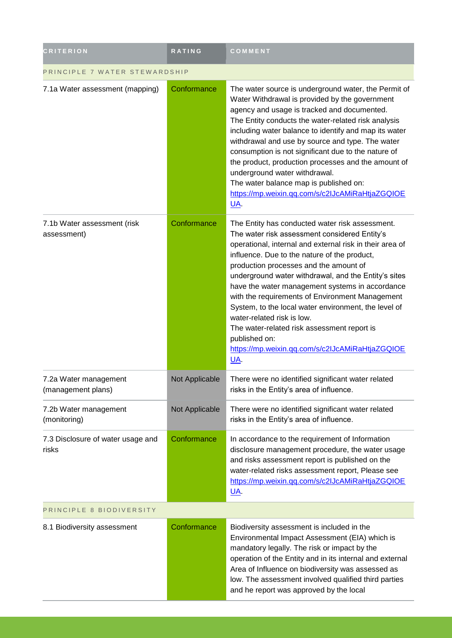| <b>CRITERION</b>                            | <b>RATING</b>  | COMMENT                                                                                                                                                                                                                                                                                                                                                                                                                                                                                                                                                                                                                              |
|---------------------------------------------|----------------|--------------------------------------------------------------------------------------------------------------------------------------------------------------------------------------------------------------------------------------------------------------------------------------------------------------------------------------------------------------------------------------------------------------------------------------------------------------------------------------------------------------------------------------------------------------------------------------------------------------------------------------|
| PRINCIPLE 7 WATER STEWARDSHIP               |                |                                                                                                                                                                                                                                                                                                                                                                                                                                                                                                                                                                                                                                      |
| 7.1a Water assessment (mapping)             | Conformance    | The water source is underground water, the Permit of<br>Water Withdrawal is provided by the government<br>agency and usage is tracked and documented.<br>The Entity conducts the water-related risk analysis<br>including water balance to identify and map its water<br>withdrawal and use by source and type. The water<br>consumption is not significant due to the nature of<br>the product, production processes and the amount of<br>underground water withdrawal.<br>The water balance map is published on:<br>https://mp.weixin.qq.com/s/c2lJcAMiRaHtjaZGQIOE<br>$\underline{\mathsf{UA}}$                                   |
| 7.1b Water assessment (risk<br>assessment)  | Conformance    | The Entity has conducted water risk assessment.<br>The water risk assessment considered Entity's<br>operational, internal and external risk in their area of<br>influence. Due to the nature of the product,<br>production processes and the amount of<br>underground water withdrawal, and the Entity's sites<br>have the water management systems in accordance<br>with the requirements of Environment Management<br>System, to the local water environment, the level of<br>water-related risk is low.<br>The water-related risk assessment report is<br>published on:<br>https://mp.weixin.qq.com/s/c2IJcAMiRaHtjaZGQIOE<br>UA. |
| 7.2a Water management<br>(management plans) | Not Applicable | There were no identified significant water related<br>risks in the Entity's area of influence.                                                                                                                                                                                                                                                                                                                                                                                                                                                                                                                                       |
| 7.2b Water management<br>(monitoring)       | Not Applicable | There were no identified significant water related<br>risks in the Entity's area of influence.                                                                                                                                                                                                                                                                                                                                                                                                                                                                                                                                       |
| 7.3 Disclosure of water usage and<br>risks  | Conformance    | In accordance to the requirement of Information<br>disclosure management procedure, the water usage<br>and risks assessment report is published on the<br>water-related risks assessment report, Please see<br>https://mp.weixin.qq.com/s/c2IJcAMiRaHtjaZGQIOE<br>UA.                                                                                                                                                                                                                                                                                                                                                                |
| PRINCIPLE 8 BIODIVERSITY                    |                |                                                                                                                                                                                                                                                                                                                                                                                                                                                                                                                                                                                                                                      |
| 8.1 Biodiversity assessment                 | Conformance    | Biodiversity assessment is included in the<br>Environmental Impact Assessment (EIA) which is<br>mandatory legally. The risk or impact by the<br>operation of the Entity and in its internal and external<br>Area of Influence on biodiversity was assessed as<br>low. The assessment involved qualified third parties<br>and he report was approved by the local                                                                                                                                                                                                                                                                     |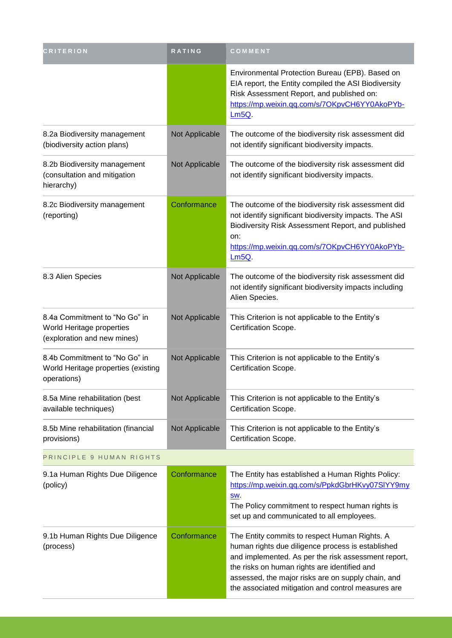| <b>CRITERION</b>                                                                          | <b>RATING</b>  | COMMENT                                                                                                                                                                                                                                                                                                               |
|-------------------------------------------------------------------------------------------|----------------|-----------------------------------------------------------------------------------------------------------------------------------------------------------------------------------------------------------------------------------------------------------------------------------------------------------------------|
|                                                                                           |                | Environmental Protection Bureau (EPB). Based on<br>EIA report, the Entity compiled the ASI Biodiversity<br>Risk Assessment Report, and published on:<br>https://mp.weixin.qq.com/s/7OKpvCH6YY0AkoPYb-<br>Lm5Q                                                                                                         |
| 8.2a Biodiversity management<br>(biodiversity action plans)                               | Not Applicable | The outcome of the biodiversity risk assessment did<br>not identify significant biodiversity impacts.                                                                                                                                                                                                                 |
| 8.2b Biodiversity management<br>(consultation and mitigation<br>hierarchy)                | Not Applicable | The outcome of the biodiversity risk assessment did<br>not identify significant biodiversity impacts.                                                                                                                                                                                                                 |
| 8.2c Biodiversity management<br>(reporting)                                               | Conformance    | The outcome of the biodiversity risk assessment did<br>not identify significant biodiversity impacts. The ASI<br>Biodiversity Risk Assessment Report, and published<br>on:<br>https://mp.weixin.qq.com/s/7OKpvCH6YY0AkoPYb-<br>Lm5Q                                                                                   |
| 8.3 Alien Species                                                                         | Not Applicable | The outcome of the biodiversity risk assessment did<br>not identify significant biodiversity impacts including<br>Alien Species.                                                                                                                                                                                      |
| 8.4a Commitment to "No Go" in<br>World Heritage properties<br>(exploration and new mines) | Not Applicable | This Criterion is not applicable to the Entity's<br>Certification Scope.                                                                                                                                                                                                                                              |
| 8.4b Commitment to "No Go" in<br>World Heritage properties (existing<br>operations)       | Not Applicable | This Criterion is not applicable to the Entity's<br>Certification Scope.                                                                                                                                                                                                                                              |
| 8.5a Mine rehabilitation (best<br>available techniques)                                   | Not Applicable | This Criterion is not applicable to the Entity's<br>Certification Scope.                                                                                                                                                                                                                                              |
| 8.5b Mine rehabilitation (financial<br>provisions)                                        | Not Applicable | This Criterion is not applicable to the Entity's<br>Certification Scope.                                                                                                                                                                                                                                              |
| PRINCIPLE 9 HUMAN RIGHTS                                                                  |                |                                                                                                                                                                                                                                                                                                                       |
| 9.1a Human Rights Due Diligence<br>(policy)                                               | Conformance    | The Entity has established a Human Rights Policy:<br>https://mp.weixin.qq.com/s/PpkdGbrHKvy07SIYY9my<br>SW.<br>The Policy commitment to respect human rights is<br>set up and communicated to all employees.                                                                                                          |
| 9.1b Human Rights Due Diligence<br>(process)                                              | Conformance    | The Entity commits to respect Human Rights. A<br>human rights due diligence process is established<br>and implemented. As per the risk assessment report,<br>the risks on human rights are identified and<br>assessed, the major risks are on supply chain, and<br>the associated mitigation and control measures are |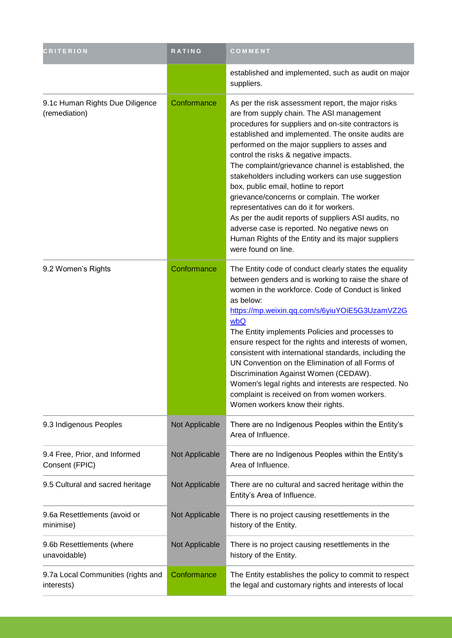| <b>CRITERION</b>                                 | <b>RATING</b>  | COMMENT                                                                                                                                                                                                                                                                                                                                                                                                                                                                                                                                                                                                                                                                                                                                  |
|--------------------------------------------------|----------------|------------------------------------------------------------------------------------------------------------------------------------------------------------------------------------------------------------------------------------------------------------------------------------------------------------------------------------------------------------------------------------------------------------------------------------------------------------------------------------------------------------------------------------------------------------------------------------------------------------------------------------------------------------------------------------------------------------------------------------------|
|                                                  |                | established and implemented, such as audit on major<br>suppliers.                                                                                                                                                                                                                                                                                                                                                                                                                                                                                                                                                                                                                                                                        |
| 9.1c Human Rights Due Diligence<br>(remediation) | Conformance    | As per the risk assessment report, the major risks<br>are from supply chain. The ASI management<br>procedures for suppliers and on-site contractors is<br>established and implemented. The onsite audits are<br>performed on the major suppliers to asses and<br>control the risks & negative impacts.<br>The complaint/grievance channel is established, the<br>stakeholders including workers can use suggestion<br>box, public email, hotline to report<br>grievance/concerns or complain. The worker<br>representatives can do it for workers.<br>As per the audit reports of suppliers ASI audits, no<br>adverse case is reported. No negative news on<br>Human Rights of the Entity and its major suppliers<br>were found on line. |
| 9.2 Women's Rights                               | Conformance    | The Entity code of conduct clearly states the equality<br>between genders and is working to raise the share of<br>women in the workforce. Code of Conduct is linked<br>as below:<br>https://mp.weixin.qq.com/s/6yiuYOiE5G3UzamVZ2G<br>wbQ<br>The Entity implements Policies and processes to<br>ensure respect for the rights and interests of women,<br>consistent with international standards, including the<br>UN Convention on the Elimination of all Forms of<br>Discrimination Against Women (CEDAW).<br>Women's legal rights and interests are respected. No<br>complaint is received on from women workers.<br>Women workers know their rights.                                                                                 |
| 9.3 Indigenous Peoples                           | Not Applicable | There are no Indigenous Peoples within the Entity's<br>Area of Influence.                                                                                                                                                                                                                                                                                                                                                                                                                                                                                                                                                                                                                                                                |
| 9.4 Free, Prior, and Informed<br>Consent (FPIC)  | Not Applicable | There are no Indigenous Peoples within the Entity's<br>Area of Influence.                                                                                                                                                                                                                                                                                                                                                                                                                                                                                                                                                                                                                                                                |
| 9.5 Cultural and sacred heritage                 | Not Applicable | There are no cultural and sacred heritage within the<br>Entity's Area of Influence.                                                                                                                                                                                                                                                                                                                                                                                                                                                                                                                                                                                                                                                      |
| 9.6a Resettlements (avoid or<br>minimise)        | Not Applicable | There is no project causing resettlements in the<br>history of the Entity.                                                                                                                                                                                                                                                                                                                                                                                                                                                                                                                                                                                                                                                               |
| 9.6b Resettlements (where<br>unavoidable)        | Not Applicable | There is no project causing resettlements in the<br>history of the Entity.                                                                                                                                                                                                                                                                                                                                                                                                                                                                                                                                                                                                                                                               |
| 9.7a Local Communities (rights and<br>interests) | Conformance    | The Entity establishes the policy to commit to respect<br>the legal and customary rights and interests of local                                                                                                                                                                                                                                                                                                                                                                                                                                                                                                                                                                                                                          |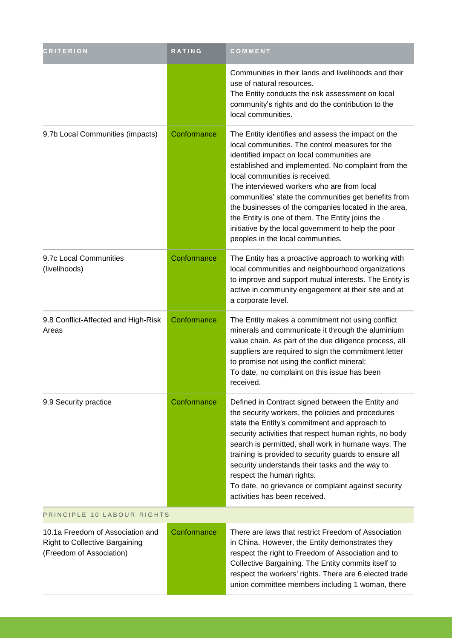| <b>CRITERION</b>                                                                                      | RATING      | COMMENT                                                                                                                                                                                                                                                                                                                                                                                                                                                                                                                                                  |
|-------------------------------------------------------------------------------------------------------|-------------|----------------------------------------------------------------------------------------------------------------------------------------------------------------------------------------------------------------------------------------------------------------------------------------------------------------------------------------------------------------------------------------------------------------------------------------------------------------------------------------------------------------------------------------------------------|
|                                                                                                       |             | Communities in their lands and livelihoods and their<br>use of natural resources.<br>The Entity conducts the risk assessment on local<br>community's rights and do the contribution to the<br>local communities.                                                                                                                                                                                                                                                                                                                                         |
| 9.7b Local Communities (impacts)                                                                      | Conformance | The Entity identifies and assess the impact on the<br>local communities. The control measures for the<br>identified impact on local communities are<br>established and implemented. No complaint from the<br>local communities is received.<br>The interviewed workers who are from local<br>communities' state the communities get benefits from<br>the businesses of the companies located in the area,<br>the Entity is one of them. The Entity joins the<br>initiative by the local government to help the poor<br>peoples in the local communities. |
| 9.7c Local Communities<br>(livelihoods)                                                               | Conformance | The Entity has a proactive approach to working with<br>local communities and neighbourhood organizations<br>to improve and support mutual interests. The Entity is<br>active in community engagement at their site and at<br>a corporate level.                                                                                                                                                                                                                                                                                                          |
| 9.8 Conflict-Affected and High-Risk<br>Areas                                                          | Conformance | The Entity makes a commitment not using conflict<br>minerals and communicate it through the aluminium<br>value chain. As part of the due diligence process, all<br>suppliers are required to sign the commitment letter<br>to promise not using the conflict mineral;<br>To date, no complaint on this issue has been<br>received.                                                                                                                                                                                                                       |
| 9.9 Security practice                                                                                 | Conformance | Defined in Contract signed between the Entity and<br>the security workers, the policies and procedures<br>state the Entity's commitment and approach to<br>security activities that respect human rights, no body<br>search is permitted, shall work in humane ways. The<br>training is provided to security guards to ensure all<br>security understands their tasks and the way to<br>respect the human rights.<br>To date, no grievance or complaint against security<br>activities has been received.                                                |
| PRINCIPLE 10 LABOUR RIGHTS                                                                            |             |                                                                                                                                                                                                                                                                                                                                                                                                                                                                                                                                                          |
| 10.1a Freedom of Association and<br><b>Right to Collective Bargaining</b><br>(Freedom of Association) | Conformance | There are laws that restrict Freedom of Association<br>in China. However, the Entity demonstrates they<br>respect the right to Freedom of Association and to<br>Collective Bargaining. The Entity commits itself to<br>respect the workers' rights. There are 6 elected trade<br>union committee members including 1 woman, there                                                                                                                                                                                                                        |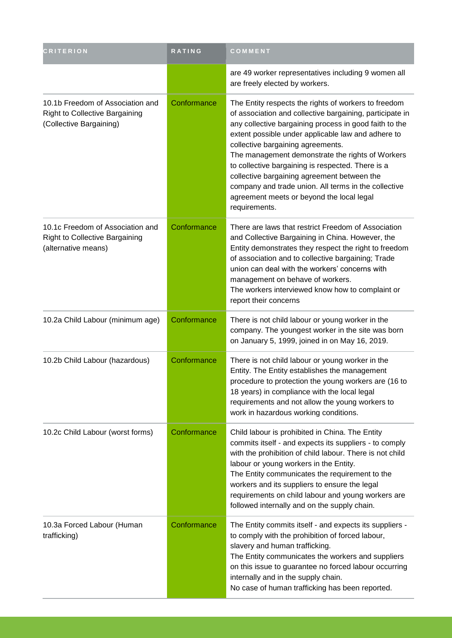| <b>CRITERION</b>                                                                                     | RATING      | COMMENT                                                                                                                                                                                                                                                                                                                                                                                                                                                                                                                                             |
|------------------------------------------------------------------------------------------------------|-------------|-----------------------------------------------------------------------------------------------------------------------------------------------------------------------------------------------------------------------------------------------------------------------------------------------------------------------------------------------------------------------------------------------------------------------------------------------------------------------------------------------------------------------------------------------------|
|                                                                                                      |             | are 49 worker representatives including 9 women all<br>are freely elected by workers.                                                                                                                                                                                                                                                                                                                                                                                                                                                               |
| 10.1b Freedom of Association and<br><b>Right to Collective Bargaining</b><br>(Collective Bargaining) | Conformance | The Entity respects the rights of workers to freedom<br>of association and collective bargaining, participate in<br>any collective bargaining process in good faith to the<br>extent possible under applicable law and adhere to<br>collective bargaining agreements.<br>The management demonstrate the rights of Workers<br>to collective bargaining is respected. There is a<br>collective bargaining agreement between the<br>company and trade union. All terms in the collective<br>agreement meets or beyond the local legal<br>requirements. |
| 10.1c Freedom of Association and<br><b>Right to Collective Bargaining</b><br>(alternative means)     | Conformance | There are laws that restrict Freedom of Association<br>and Collective Bargaining in China. However, the<br>Entity demonstrates they respect the right to freedom<br>of association and to collective bargaining; Trade<br>union can deal with the workers' concerns with<br>management on behave of workers.<br>The workers interviewed know how to complaint or<br>report their concerns                                                                                                                                                           |
| 10.2a Child Labour (minimum age)                                                                     | Conformance | There is not child labour or young worker in the<br>company. The youngest worker in the site was born<br>on January 5, 1999, joined in on May 16, 2019.                                                                                                                                                                                                                                                                                                                                                                                             |
| 10.2b Child Labour (hazardous)                                                                       | Conformance | There is not child labour or young worker in the<br>Entity. The Entity establishes the management<br>procedure to protection the young workers are (16 to<br>18 years) in compliance with the local legal<br>requirements and not allow the young workers to<br>work in hazardous working conditions.                                                                                                                                                                                                                                               |
| 10.2c Child Labour (worst forms)                                                                     | Conformance | Child labour is prohibited in China. The Entity<br>commits itself - and expects its suppliers - to comply<br>with the prohibition of child labour. There is not child<br>labour or young workers in the Entity.<br>The Entity communicates the requirement to the<br>workers and its suppliers to ensure the legal<br>requirements on child labour and young workers are<br>followed internally and on the supply chain.                                                                                                                            |
| 10.3a Forced Labour (Human<br>trafficking)                                                           | Conformance | The Entity commits itself - and expects its suppliers -<br>to comply with the prohibition of forced labour,<br>slavery and human trafficking.<br>The Entity communicates the workers and suppliers<br>on this issue to guarantee no forced labour occurring<br>internally and in the supply chain.<br>No case of human trafficking has been reported.                                                                                                                                                                                               |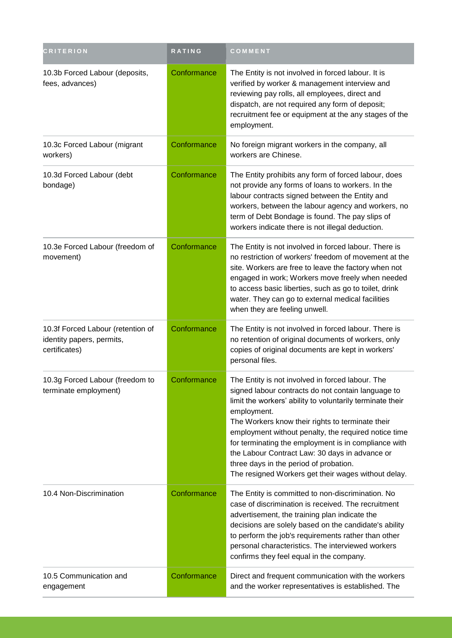| <b>CRITERION</b>                                                                | <b>RATING</b> | COMMENT                                                                                                                                                                                                                                                                                                                                                                                                                                                                                                   |
|---------------------------------------------------------------------------------|---------------|-----------------------------------------------------------------------------------------------------------------------------------------------------------------------------------------------------------------------------------------------------------------------------------------------------------------------------------------------------------------------------------------------------------------------------------------------------------------------------------------------------------|
| 10.3b Forced Labour (deposits,<br>fees, advances)                               | Conformance   | The Entity is not involved in forced labour. It is<br>verified by worker & management interview and<br>reviewing pay rolls, all employees, direct and<br>dispatch, are not required any form of deposit;<br>recruitment fee or equipment at the any stages of the<br>employment.                                                                                                                                                                                                                          |
| 10.3c Forced Labour (migrant<br>workers)                                        | Conformance   | No foreign migrant workers in the company, all<br>workers are Chinese.                                                                                                                                                                                                                                                                                                                                                                                                                                    |
| 10.3d Forced Labour (debt<br>bondage)                                           | Conformance   | The Entity prohibits any form of forced labour, does<br>not provide any forms of loans to workers. In the<br>labour contracts signed between the Entity and<br>workers, between the labour agency and workers, no<br>term of Debt Bondage is found. The pay slips of<br>workers indicate there is not illegal deduction.                                                                                                                                                                                  |
| 10.3e Forced Labour (freedom of<br>movement)                                    | Conformance   | The Entity is not involved in forced labour. There is<br>no restriction of workers' freedom of movement at the<br>site. Workers are free to leave the factory when not<br>engaged in work; Workers move freely when needed<br>to access basic liberties, such as go to toilet, drink<br>water. They can go to external medical facilities<br>when they are feeling unwell.                                                                                                                                |
| 10.3f Forced Labour (retention of<br>identity papers, permits,<br>certificates) | Conformance   | The Entity is not involved in forced labour. There is<br>no retention of original documents of workers, only<br>copies of original documents are kept in workers'<br>personal files.                                                                                                                                                                                                                                                                                                                      |
| 10.3g Forced Labour (freedom to<br>terminate employment)                        | Conformance   | The Entity is not involved in forced labour. The<br>signed labour contracts do not contain language to<br>limit the workers' ability to voluntarily terminate their<br>employment.<br>The Workers know their rights to terminate their<br>employment without penalty, the required notice time<br>for terminating the employment is in compliance with<br>the Labour Contract Law: 30 days in advance or<br>three days in the period of probation.<br>The resigned Workers get their wages without delay. |
| 10.4 Non-Discrimination                                                         | Conformance   | The Entity is committed to non-discrimination. No<br>case of discrimination is received. The recruitment<br>advertisement, the training plan indicate the<br>decisions are solely based on the candidate's ability<br>to perform the job's requirements rather than other<br>personal characteristics. The interviewed workers<br>confirms they feel equal in the company.                                                                                                                                |
| 10.5 Communication and<br>engagement                                            | Conformance   | Direct and frequent communication with the workers<br>and the worker representatives is established. The                                                                                                                                                                                                                                                                                                                                                                                                  |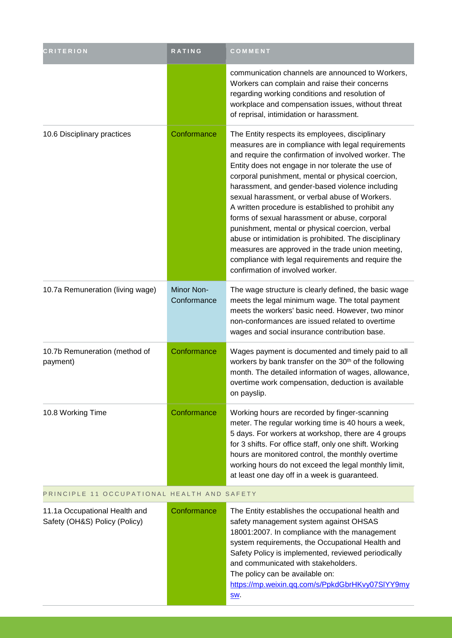| <b>CRITERION</b>                                               | RATING                    | COMMENT                                                                                                                                                                                                                                                                                                                                                                                                                                                                                                                                                                                                                                                                                                                                        |
|----------------------------------------------------------------|---------------------------|------------------------------------------------------------------------------------------------------------------------------------------------------------------------------------------------------------------------------------------------------------------------------------------------------------------------------------------------------------------------------------------------------------------------------------------------------------------------------------------------------------------------------------------------------------------------------------------------------------------------------------------------------------------------------------------------------------------------------------------------|
|                                                                |                           | communication channels are announced to Workers,<br>Workers can complain and raise their concerns<br>regarding working conditions and resolution of<br>workplace and compensation issues, without threat<br>of reprisal, intimidation or harassment.                                                                                                                                                                                                                                                                                                                                                                                                                                                                                           |
| 10.6 Disciplinary practices                                    | Conformance               | The Entity respects its employees, disciplinary<br>measures are in compliance with legal requirements<br>and require the confirmation of involved worker. The<br>Entity does not engage in nor tolerate the use of<br>corporal punishment, mental or physical coercion,<br>harassment, and gender-based violence including<br>sexual harassment, or verbal abuse of Workers.<br>A written procedure is established to prohibit any<br>forms of sexual harassment or abuse, corporal<br>punishment, mental or physical coercion, verbal<br>abuse or intimidation is prohibited. The disciplinary<br>measures are approved in the trade union meeting,<br>compliance with legal requirements and require the<br>confirmation of involved worker. |
| 10.7a Remuneration (living wage)                               | Minor Non-<br>Conformance | The wage structure is clearly defined, the basic wage<br>meets the legal minimum wage. The total payment<br>meets the workers' basic need. However, two minor<br>non-conformances are issued related to overtime<br>wages and social insurance contribution base.                                                                                                                                                                                                                                                                                                                                                                                                                                                                              |
| 10.7b Remuneration (method of<br>payment)                      | Conformance               | Wages payment is documented and timely paid to all<br>workers by bank transfer on the 30 <sup>th</sup> of the following<br>month. The detailed information of wages, allowance,<br>overtime work compensation, deduction is available<br>on payslip.                                                                                                                                                                                                                                                                                                                                                                                                                                                                                           |
| 10.8 Working Time                                              | Conformance               | Working hours are recorded by finger-scanning<br>meter. The regular working time is 40 hours a week,<br>5 days. For workers at workshop, there are 4 groups<br>for 3 shifts. For office staff, only one shift. Working<br>hours are monitored control, the monthly overtime<br>working hours do not exceed the legal monthly limit,<br>at least one day off in a week is guaranteed.                                                                                                                                                                                                                                                                                                                                                           |
| PRINCIPLE 11 OCCUPATIONAL HEALTH AND SAFETY                    |                           |                                                                                                                                                                                                                                                                                                                                                                                                                                                                                                                                                                                                                                                                                                                                                |
| 11.1a Occupational Health and<br>Safety (OH&S) Policy (Policy) | Conformance               | The Entity establishes the occupational health and<br>safety management system against OHSAS<br>18001:2007. In compliance with the management<br>system requirements, the Occupational Health and<br>Safety Policy is implemented, reviewed periodically<br>and communicated with stakeholders.<br>The policy can be available on:<br>https://mp.weixin.qq.com/s/PpkdGbrHKvy07SIYY9my<br>SW.                                                                                                                                                                                                                                                                                                                                                   |